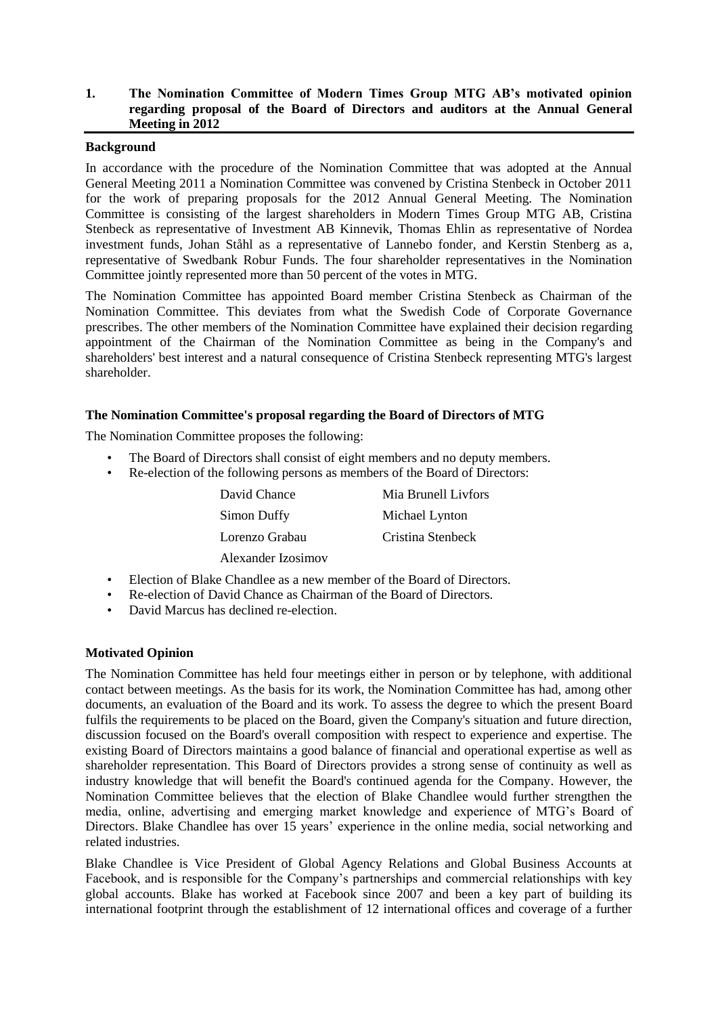# **1. The Nomination Committee of Modern Times Group MTG AB's motivated opinion regarding proposal of the Board of Directors and auditors at the Annual General Meeting in 2012**

## **Background**

In accordance with the procedure of the Nomination Committee that was adopted at the Annual General Meeting 2011 a Nomination Committee was convened by Cristina Stenbeck in October 2011 for the work of preparing proposals for the 2012 Annual General Meeting. The Nomination Committee is consisting of the largest shareholders in Modern Times Group MTG AB, Cristina Stenbeck as representative of Investment AB Kinnevik, Thomas Ehlin as representative of Nordea investment funds, Johan Ståhl as a representative of Lannebo fonder, and Kerstin Stenberg as a, representative of Swedbank Robur Funds. The four shareholder representatives in the Nomination Committee jointly represented more than 50 percent of the votes in MTG.

The Nomination Committee has appointed Board member Cristina Stenbeck as Chairman of the Nomination Committee. This deviates from what the Swedish Code of Corporate Governance prescribes. The other members of the Nomination Committee have explained their decision regarding appointment of the Chairman of the Nomination Committee as being in the Company's and shareholders' best interest and a natural consequence of Cristina Stenbeck representing MTG's largest shareholder.

## **The Nomination Committee's proposal regarding the Board of Directors of MTG**

The Nomination Committee proposes the following:

- The Board of Directors shall consist of eight members and no deputy members.
- Re-election of the following persons as members of the Board of Directors:

| David Chance       | Mia Brunell Livfors |
|--------------------|---------------------|
| Simon Duffy        | Michael Lynton      |
| Lorenzo Grabau     | Cristina Stenbeck   |
| Alexander Izosimov |                     |

- Election of Blake Chandlee as a new member of the Board of Directors.
- Re-election of David Chance as Chairman of the Board of Directors.
- David Marcus has declined re-election.

## **Motivated Opinion**

The Nomination Committee has held four meetings either in person or by telephone, with additional contact between meetings. As the basis for its work, the Nomination Committee has had, among other documents, an evaluation of the Board and its work. To assess the degree to which the present Board fulfils the requirements to be placed on the Board, given the Company's situation and future direction, discussion focused on the Board's overall composition with respect to experience and expertise. The existing Board of Directors maintains a good balance of financial and operational expertise as well as shareholder representation. This Board of Directors provides a strong sense of continuity as well as industry knowledge that will benefit the Board's continued agenda for the Company. However, the Nomination Committee believes that the election of Blake Chandlee would further strengthen the media, online, advertising and emerging market knowledge and experience of MTG's Board of Directors. Blake Chandlee has over 15 years' experience in the online media, social networking and related industries.

Blake Chandlee is Vice President of Global Agency Relations and Global Business Accounts at Facebook, and is responsible for the Company's partnerships and commercial relationships with key global accounts. Blake has worked at Facebook since 2007 and been a key part of building its international footprint through the establishment of 12 international offices and coverage of a further